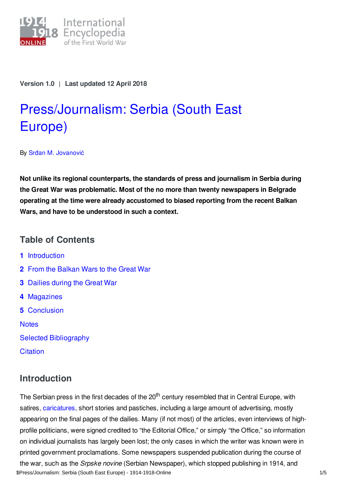

**Version 1.0** | **Last updated 12 April 2018**

# [Press/Journalism:](https://encyclopedia.1914-1918-online.net/article/pressjournalism_serbia_south_east_europe) Serbia (South East Europe)

By Srđan M. [Jovanović](https://encyclopedia.1914-1918-online.net/contributors/Srdjan_M._Jovanovic)

**Not unlike its regional counterparts, the standards of press and journalism in Serbia during the Great War was problematic. Most of the no more than twenty newspapers in Belgrade operating at the time were already accustomed to biased reporting from the recent Balkan Wars, and have to be understood in such a context.**

# **Table of Contents**

- **1** [Introduction](#page-0-0)
- **2** From the [Balkan](#page-1-0) Wars to the Great War
- **3** [Dailies](#page-1-1) during the Great War
- **4** [Magazines](#page-2-0)
- **5** [Conclusion](#page-2-1)

**[Notes](#page-2-2)** 

Selected [Bibliography](#page-3-0)

**[Citation](#page-3-1)** 

# <span id="page-0-0"></span>**Introduction**

The Serbian press in the first decades of the 20<sup>th</sup> century resembled that in Central Europe, with satires, [caricatures](/article/caricatures), short stories and pastiches, including a large amount of advertising, mostly appearing on the final pages of the dailies. Many (if not most) of the articles, even interviews of highprofile politicians, were signed credited to "the Editorial Office," or simply "the Office," so information on individual journalists has largely been lost; the only cases in which the writer was known were in printed government proclamations. Some newspapers suspended publication during the course of the war, such as the *Srpske novine* (Serbian Newspaper), which stopped publishing in 1914, and \$Press/Journalism: Serbia (South East Europe) - 1914-1918-Online 1/5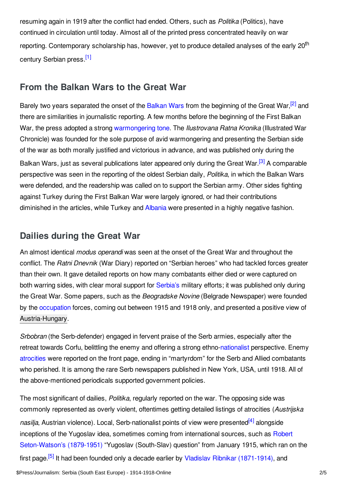resuming again in 1919 after the conflict had ended. Others, such as *Politika* (Politics), have continued in circulation until today. Almost all of the printed press concentrated heavily on war reporting. Contemporary scholarship has, however, yet to produce detailed analyses of the early 20<sup>th</sup> century Serbian press.<sup>[\[1\]](#page-2-3)</sup>

## <span id="page-1-2"></span><span id="page-1-0"></span>**From the Balkan Wars to the Great War**

<span id="page-1-4"></span><span id="page-1-3"></span>Barely two years separated the onset of the [Balkan](/article/balkan_wars_1912-1913) Wars from the beginning of the Great War,<sup>[\[2\]](#page-2-4)</sup> and there are similarities in journalistic reporting. A few months before the beginning of the First Balkan War, the press adopted a strong [warmongering](/article/controversy_the_medias_responsibility_for_crises_and_conflicts_in_the_age_of_imperialism) tone. The *Ilustrovana Ratna Kronika* (Illustrated War Chronicle) was founded for the sole purpose of avid warmongering and presenting the Serbian side of the war as both morally justified and victorious in advance, and was published only during the Balkan Wars, just as several publications later appeared only during the Great War.<sup>[\[3\]](#page-2-5)</sup> A comparable perspective was seen in the reporting of the oldest Serbian daily, *Politika*, in which the Balkan Wars were defended, and the readership was called on to support the Serbian army. Other sides fighting against Turkey during the First Balkan War were largely ignored, or had their contributions diminished in the articles, while Turkey and [Albania](/article/albania) were presented in a highly negative fashion.

# <span id="page-1-1"></span>**Dailies during the Great War**

An almost identical *modus operandi* was seen at the onset of the Great War and throughout the conflict. The *Ratni Dnevnik* (War Diary) reported on "Serbian heroes" who had tackled forces greater than their own. It gave detailed reports on how many combatants either died or were captured on both warring sides, with clear moral support for [Serbia's](/article/serbia) military efforts; it was published only during the Great War. Some papers, such as the *Beogradske Novine* (Belgrade Newspaper) were founded by the [occupation](/article/occupation_during_and_after_the_war_south_east_europe) forces, coming out between 1915 and 1918 only, and presented a positive view of [Austria-Hungary](/article/austria-hungary).

*Srbobran* (the Serb-defender) engaged in fervent praise of the Serb armies, especially after the retreat towards Corfu, belittling the enemy and offering a strong ethno[-nationalist](/article/nationalism) perspective. Enemy [atrocities](/article/atrocities) were reported on the front page, ending in "martyrdom" for the Serb and Allied combatants who perished. It is among the rare Serb newspapers published in New York, USA, until 1918. All of the above-mentioned periodicals supported government policies.

<span id="page-1-6"></span><span id="page-1-5"></span>The most significant of dailies, *Politika*, regularly reported on the war. The opposing side was commonly represented as overly violent, oftentimes getting detailed listings of atrocities (*Austrijska* nasilja, Austrian violence). Local, Serb-nationalist points of view were presented<sup>[\[4\]](#page-2-6)</sup> alongside inceptions of the Yugoslav idea, sometimes coming from international sources, such as Robert [Seton-Watson's](/index/names/118796755) (1879-1951) "Yugoslav (South-Slav) question" from January 1915, which ran on the first page.<sup>[\[5\]](#page-3-2)</sup> It had been founded only a decade earlier by Vladislav Ribnikar [\(1871-1914\),](/index/names/140480900) and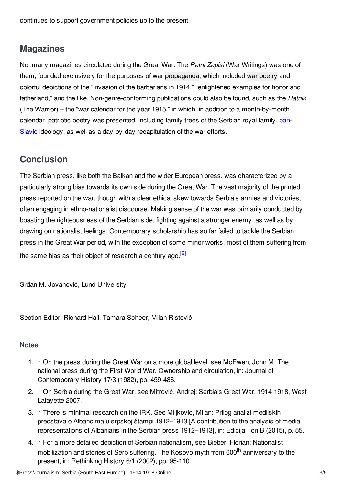continues to support government policies up to the present.

# <span id="page-2-0"></span>**Magazines**

Not many magazines circulated during the Great War. The *Ratni Zapisi* (War Writings) was one of them, founded exclusively for the purposes of war [propaganda](/article/propaganda_at_home_and_in_exile_south_east_europe), which included war [poetry](/article/war_poetry) and colorful depictions of the "invasion of the barbarians in 1914," "enlightened examples for honor and fatherland," and the like. Non-genre-conforming publications could also be found, such as the *Ratnik* (The Warrior) – the "war calendar for the year 1915," in which, in addition to a month-by-month calendar, patriotic poetry was presented, including family trees of the Serbian royal family, pan-Slavic ideology, as well as a day-by-day [recapitulation](/article/panslavism) of the war efforts.

# <span id="page-2-1"></span>**Conclusion**

The Serbian press, like both the Balkan and the wider European press, was characterized by a particularly strong bias towards its own side during the Great War. The vast majority of the printed press reported on the war, though with a clear ethical skew towards Serbia's armies and victories, often engaging in ethno-nationalist discourse. Making sense of the war was primarily conducted by boasting the righteousness of the Serbian side, fighting against a stronger enemy, as well as by drawing on nationalist feelings. Contemporary scholarship has so far failed to tackle the Serbian press in the Great War period, with the exception of some minor works, most of them suffering from the same bias as their object of research a century ago.<sup>[\[6\]](#page-3-3)</sup>

<span id="page-2-7"></span>Srđan M. Jovanović, Lund University

Section Editor: Richard Hall, Tamara Scheer, Milan Ristović

## <span id="page-2-2"></span>**Notes**

- <span id="page-2-3"></span>1. [↑](#page-1-2) On the press during the Great War on a more global level, see McEwen, John M: The national press during the First World War. Ownership and circulation, in: Journal of Contemporary History 17/3 (1982), pp. 459-486.
- <span id="page-2-4"></span>2. [↑](#page-1-3) On Serbia during the Great War, see Mitrović, Andrej: Serbia's Great War, 1914-1918, West Lafayette 2007.
- <span id="page-2-5"></span>3. [↑](#page-1-4) There is minimal research on the IRK. See Miljković, Milan: Prilog analizi medijskih predstava o Albancima u srpskoj štampi 1912–1913 [A contribution to the analysis of media representations of Albanians in the Serbian press 1912–1913], in: Edicija Ton B (2015), p. 55.
- <span id="page-2-6"></span>4. [↑](#page-1-5) For a more detailed depiction of Serbian nationalism, see Bieber, Florian: Nationalist mobilization and stories of Serb suffering. The Kosovo myth from 600<sup>th</sup> anniversary to the present, in: Rethinking History 6/1 (2002), pp. 95-110.